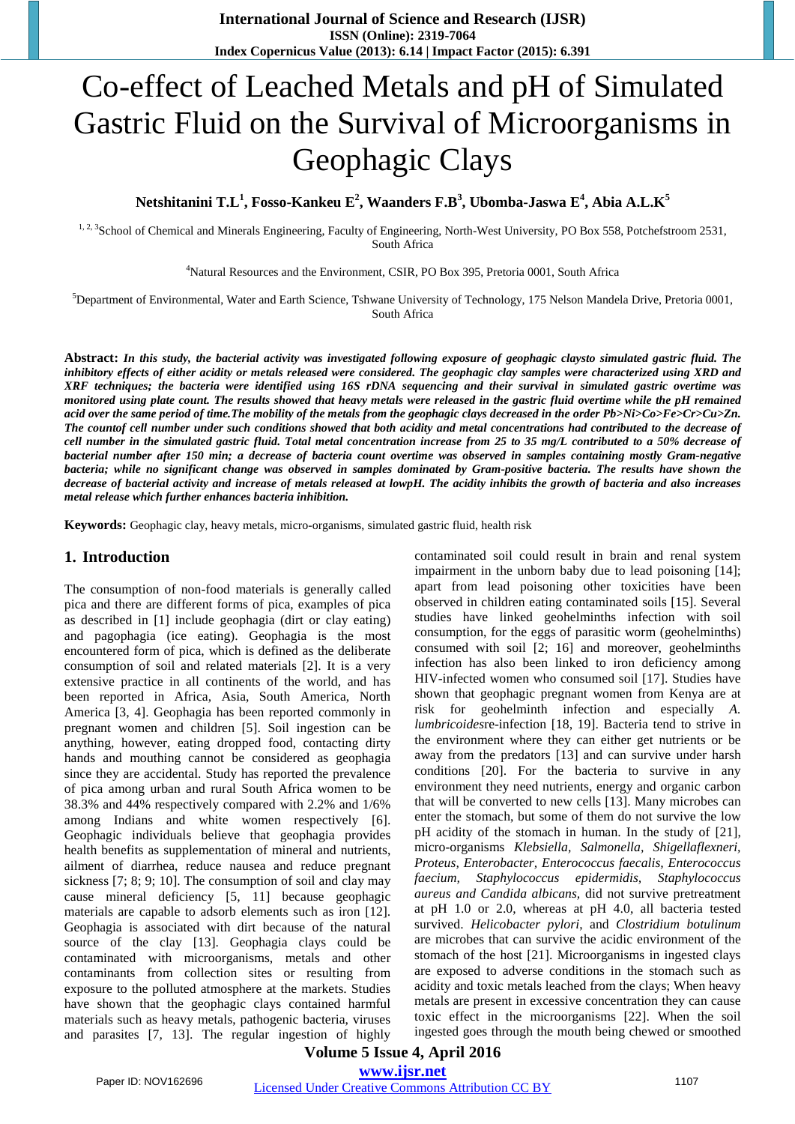# Co-effect of Leached Metals and pH of Simulated Gastric Fluid on the Survival of Microorganisms in Geophagic Clays

 $\mathbf{N}$ etshitanini  $\mathbf{T}.\mathbf{L}^1$ , Fosso-Kankeu  $\mathbf{E}^2$ , Waanders F.B $^3$ , Ubomba-Jaswa  $\mathbf{E}^4$ , Abia A.L.K $^5$ 

<sup>1, 2, 3</sup>School of Chemical and Minerals Engineering, Faculty of Engineering, North-West University, PO Box 558, Potchefstroom 2531, South Africa

4 Natural Resources and the Environment, CSIR, PO Box 395, Pretoria 0001, South Africa

<sup>5</sup>Department of Environmental, Water and Earth Science, Tshwane University of Technology, 175 Nelson Mandela Drive, Pretoria 0001, South Africa

**Abstract:** *In this study, the bacterial activity was investigated following exposure of geophagic claysto simulated gastric fluid. The inhibitory effects of either acidity or metals released were considered. The geophagic clay samples were characterized using XRD and XRF techniques; the bacteria were identified using 16S rDNA sequencing and their survival in simulated gastric overtime was* monitored using plate count. The results showed that heavy metals were released in the gastric fluid overtime while the pH remained acid over the same period of time. The mobility of the metals from the geophagic clays decreased in the order Pb>Ni>Co>Fe>Cr>Cu>Zn. The countof cell number under such conditions showed that both acidity and metal concentrations had contributed to the decrease of cell number in the simulated gastric fluid. Total metal concentration increase from 25 to 35 mg/L contributed to a 50% decrease of bacterial number after 150 min; a decrease of bacteria count overtime was observed in samples containing mostly Gram-negative *bacteria; while no significant change was observed in samples dominated by Gram-positive bacteria. The results have shown the* decrease of bacterial activity and increase of metals released at lowpH. The acidity inhibits the growth of bacteria and also increases *metal release which further enhances bacteria inhibition.*

**Keywords:** Geophagic clay, heavy metals, micro-organisms, simulated gastric fluid, health risk

#### **1. Introduction**

The consumption of non-food materials is generally called pica and there are different forms of pica, examples of pica as described in [1] include geophagia (dirt or clay eating) and pagophagia (ice eating). Geophagia is the most encountered form of pica, which is defined as the deliberate consumption of soil and related materials [2]. It is a very extensive practice in all continents of the world, and has been reported in Africa, Asia, South America, North America [3, 4]. Geophagia has been reported commonly in pregnant women and children [5]. Soil ingestion can be anything, however, eating dropped food, contacting dirty hands and mouthing cannot be considered as geophagia since they are accidental. Study has reported the prevalence of pica among urban and rural South Africa women to be 38.3% and 44% respectively compared with 2.2% and 1/6% among Indians and white women respectively [6]. Geophagic individuals believe that geophagia provides health benefits as supplementation of mineral and nutrients, ailment of diarrhea, reduce nausea and reduce pregnant sickness [7; 8; 9; 10]. The consumption of soil and clay may cause mineral deficiency [5, 11] because geophagic materials are capable to adsorb elements such as iron [12]. Geophagia is associated with dirt because of the natural source of the clay [13]. Geophagia clays could be contaminated with microorganisms, metals and other contaminants from collection sites or resulting from exposure to the polluted atmosphere at the markets. Studies have shown that the geophagic clays contained harmful materials such as heavy metals, pathogenic bacteria, viruses and parasites [7, 13]. The regular ingestion of highly contaminated soil could result in brain and renal system impairment in the unborn baby due to lead poisoning [14]; apart from lead poisoning other toxicities have been observed in children eating contaminated soils [15]. Several studies have linked geohelminths infection with soil consumption, for the eggs of parasitic worm (geohelminths) consumed with soil [2; 16] and moreover, geohelminths infection has also been linked to iron deficiency among HIV-infected women who consumed soil [17]. Studies have shown that geophagic pregnant women from Kenya are at risk for geohelminth infection and especially *A. lumbricoides*re-infection [18, 19]. Bacteria tend to strive in the environment where they can either get nutrients or be away from the predators [13] and can survive under harsh conditions [20]. For the bacteria to survive in any environment they need nutrients, energy and organic carbon that will be converted to new cells [13]. Many microbes can enter the stomach, but some of them do not survive the low pH acidity of the stomach in human. In the study of [21], micro-organisms *Klebsiella, Salmonella, Shigellaflexneri, Proteus, Enterobacter, Enterococcus faecalis, Enterococcus faecium, Staphylococcus epidermidis, Staphylococcus aureus and Candida albicans,* did not survive pretreatment at pH 1.0 or 2.0, whereas at pH 4.0, all bacteria tested survived. *Helicobacter pylori*, and *Clostridium botulinum* are microbes that can survive the acidic environment of the stomach of the host [21]. Microorganisms in ingested clays are exposed to adverse conditions in the stomach such as acidity and toxic metals leached from the clays; When heavy metals are present in excessive concentration they can cause toxic effect in the microorganisms [22]. When the soil ingested goes through the mouth being chewed or smoothed

# **Volume 5 Issue 4, April 2016 www.ijsr.net**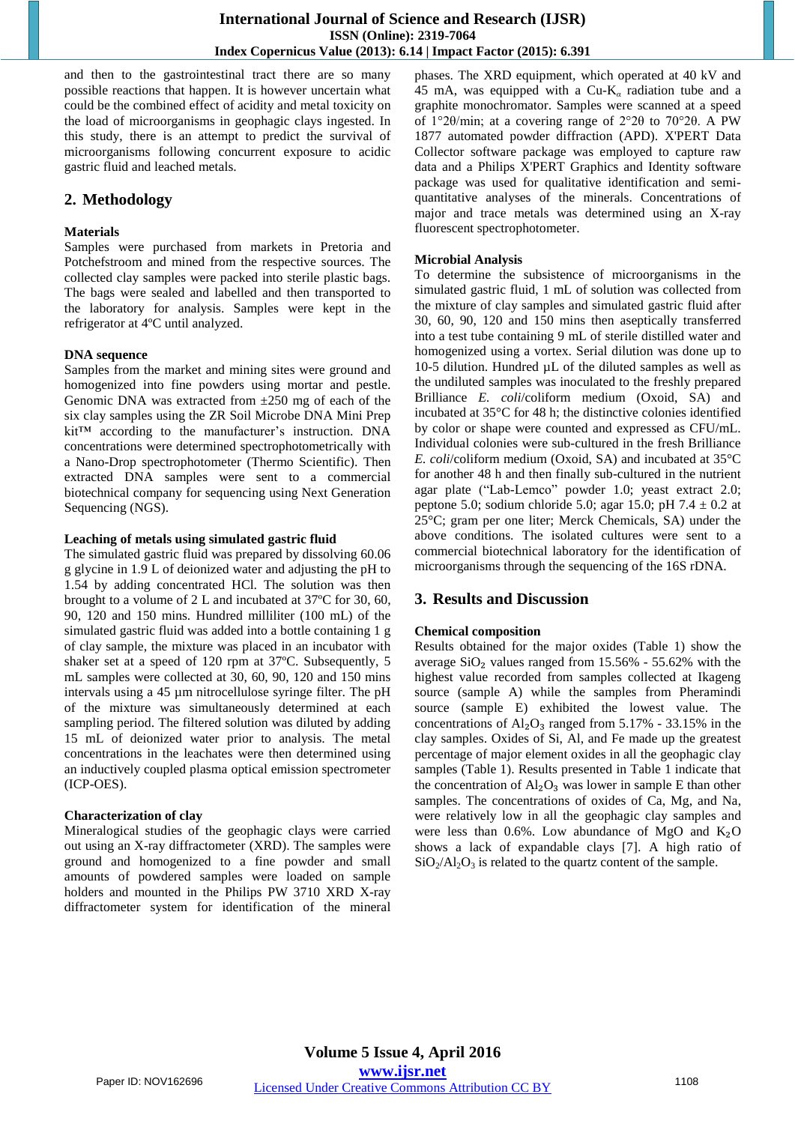and then to the gastrointestinal tract there are so many possible reactions that happen. It is however uncertain what could be the combined effect of acidity and metal toxicity on the load of microorganisms in geophagic clays ingested. In this study, there is an attempt to predict the survival of microorganisms following concurrent exposure to acidic gastric fluid and leached metals.

# **2. Methodology**

# **Materials**

Samples were purchased from markets in Pretoria and Potchefstroom and mined from the respective sources. The collected clay samples were packed into sterile plastic bags. The bags were sealed and labelled and then transported to the laboratory for analysis. Samples were kept in the refrigerator at 4ºC until analyzed.

## **DNA sequence**

Samples from the market and mining sites were ground and homogenized into fine powders using mortar and pestle. Genomic DNA was extracted from  $\pm 250$  mg of each of the six clay samples using the ZR Soil Microbe DNA Mini Prep kit™ according to the manufacturer's instruction. DNA concentrations were determined spectrophotometrically with a Nano-Drop spectrophotometer (Thermo Scientific). Then extracted DNA samples were sent to a commercial biotechnical company for sequencing using Next Generation Sequencing (NGS).

# **Leaching of metals using simulated gastric fluid**

The simulated gastric fluid was prepared by dissolving 60.06 g glycine in 1.9 L of deionized water and adjusting the pH to 1.54 by adding concentrated HCl. The solution was then brought to a volume of 2 L and incubated at 37ºC for 30, 60, 90, 120 and 150 mins. Hundred milliliter (100 mL) of the simulated gastric fluid was added into a bottle containing 1 g of clay sample, the mixture was placed in an incubator with shaker set at a speed of 120 rpm at 37ºC. Subsequently, 5 mL samples were collected at 30, 60, 90, 120 and 150 mins intervals using a 45 µm nitrocellulose syringe filter. The pH of the mixture was simultaneously determined at each sampling period. The filtered solution was diluted by adding 15 mL of deionized water prior to analysis. The metal concentrations in the leachates were then determined using an inductively coupled plasma optical emission spectrometer (ICP-OES).

# **Characterization of clay**

Mineralogical studies of the geophagic clays were carried out using an X-ray diffractometer (XRD). The samples were ground and homogenized to a fine powder and small amounts of powdered samples were loaded on sample holders and mounted in the Philips PW 3710 XRD X-ray diffractometer system for identification of the mineral phases. The XRD equipment, which operated at 40 kV and 45 mA, was equipped with a Cu-K*α* radiation tube and a graphite monochromator. Samples were scanned at a speed of 1°2θ/min; at a covering range of 2°2θ to 70°2θ. A PW 1877 automated powder diffraction (APD). X'PERT Data Collector software package was employed to capture raw data and a Philips X'PERT Graphics and Identity software package was used for qualitative identification and semiquantitative analyses of the minerals. Concentrations of major and trace metals was determined using an X-ray fluorescent spectrophotometer.

# **Microbial Analysis**

To determine the subsistence of microorganisms in the simulated gastric fluid, 1 mL of solution was collected from the mixture of clay samples and simulated gastric fluid after 30, 60, 90, 120 and 150 mins then aseptically transferred into a test tube containing 9 mL of sterile distilled water and homogenized using a vortex. Serial dilution was done up to 10-5 dilution. Hundred µL of the diluted samples as well as the undiluted samples was inoculated to the freshly prepared Brilliance *E. coli*/coliform medium (Oxoid, SA) and incubated at 35°C for 48 h; the distinctive colonies identified by color or shape were counted and expressed as CFU/mL. Individual colonies were sub-cultured in the fresh Brilliance *E. coli*/coliform medium (Oxoid, SA) and incubated at 35°C for another 48 h and then finally sub-cultured in the nutrient agar plate ("Lab-Lemco" powder 1.0; yeast extract 2.0; peptone 5.0; sodium chloride 5.0; agar 15.0; pH  $7.4 \pm 0.2$  at 25°C; gram per one liter; Merck Chemicals, SA) under the above conditions. The isolated cultures were sent to a commercial biotechnical laboratory for the identification of microorganisms through the sequencing of the 16S rDNA.

# **3. Results and Discussion**

# **Chemical composition**

Results obtained for the major oxides (Table 1) show the average SiO₂ values ranged from 15.56% - 55.62% with the highest value recorded from samples collected at Ikageng source (sample A) while the samples from Pheramindi source (sample E) exhibited the lowest value. The concentrations of  $Al_2O_3$  ranged from 5.17% - 33.15% in the clay samples. Oxides of Si, Al, and Fe made up the greatest percentage of major element oxides in all the geophagic clay samples (Table 1). Results presented in Table 1 indicate that the concentration of  $\text{Al}_2\text{O}_3$  was lower in sample E than other samples. The concentrations of oxides of Ca, Mg, and Na, were relatively low in all the geophagic clay samples and were less than 0.6%. Low abundance of MgO and  $K_2O$ shows a lack of expandable clays [7]. A high ratio of  $SiO_2/Al_2O_3$  is related to the quartz content of the sample.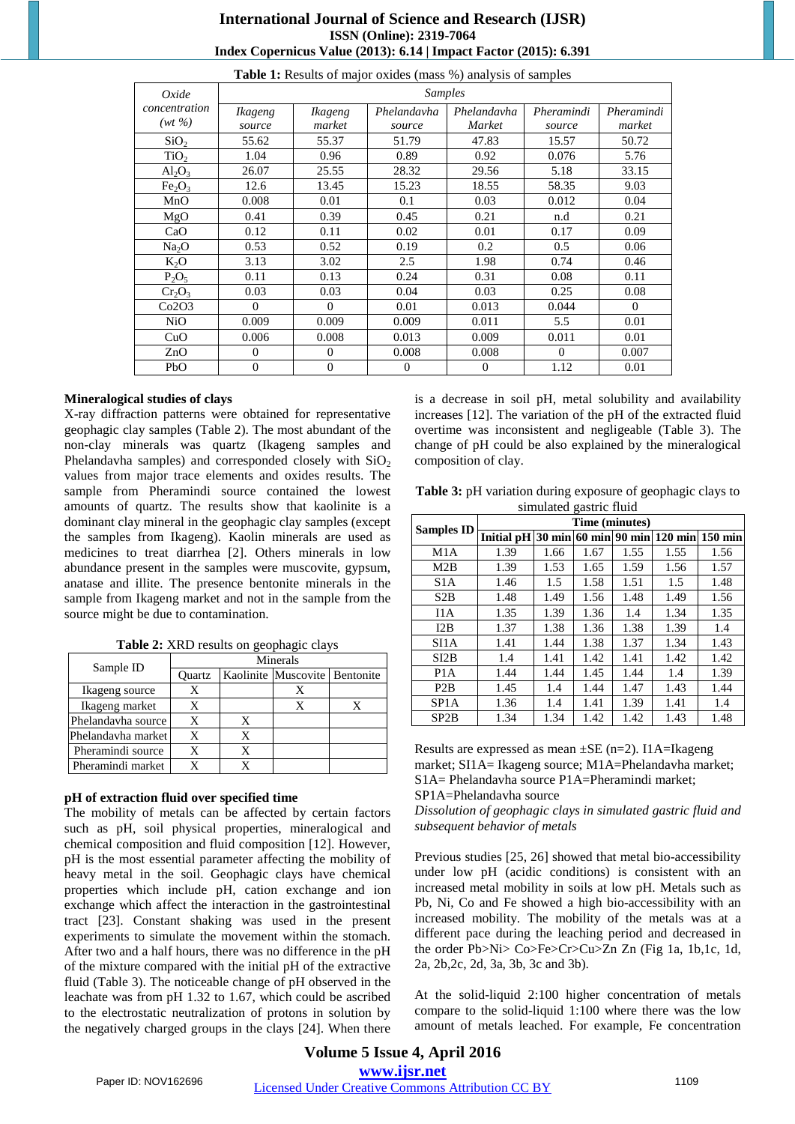# **International Journal of Science and Research (IJSR) ISSN (Online): 2319-7064 Index Copernicus Value (2013): 6.14 | Impact Factor (2015): 6.391**

| Oxide                          | <b>Samples</b> |          |              |             |            |            |
|--------------------------------|----------------|----------|--------------|-------------|------------|------------|
| concentration                  | <i>Ikageng</i> | Ikageng  | Phelandavha  | Phelandavha | Pheramindi | Pheramindi |
| $(wt \, \%)$                   | source         | market   | source       | Market      | source     | market     |
| SiO <sub>2</sub>               | 55.62          | 55.37    | 51.79        | 47.83       | 15.57      | 50.72      |
| TiO <sub>2</sub>               | 1.04           | 0.96     | 0.89         | 0.92        | 0.076      | 5.76       |
| $Al_2O_3$                      | 26.07          | 25.55    | 28.32        | 29.56       | 5.18       | 33.15      |
| Fe <sub>2</sub> O <sub>3</sub> | 12.6           | 13.45    | 15.23        | 18.55       | 58.35      | 9.03       |
| MnO                            | 0.008          | 0.01     | 0.1          | 0.03        | 0.012      | 0.04       |
| MgO                            | 0.41           | 0.39     | 0.45         | 0.21        | n.d        | 0.21       |
| CaO                            | 0.12           | 0.11     | 0.02         | 0.01        | 0.17       | 0.09       |
| Na <sub>2</sub> O              | 0.53           | 0.52     | 0.19         | 0.2         | 0.5        | 0.06       |
| $K_2O$                         | 3.13           | 3.02     | 2.5          | 1.98        | 0.74       | 0.46       |
| $P_2O_5$                       | 0.11           | 0.13     | 0.24         | 0.31        | 0.08       | 0.11       |
| $Cr_2O_3$                      | 0.03           | 0.03     | 0.04         | 0.03        | 0.25       | 0.08       |
| Co2O3                          | $\Omega$       | $\Omega$ | 0.01         | 0.013       | 0.044      | $\Omega$   |
| N <sub>i</sub> O               | 0.009          | 0.009    | 0.009        | 0.011       | 5.5        | 0.01       |
| CuO                            | 0.006          | 0.008    | 0.013        | 0.009       | 0.011      | 0.01       |
| ZnO                            | $\Omega$       | $\Omega$ | 0.008        | 0.008       | $\Omega$   | 0.007      |
| PbO                            | $\mathbf{0}$   | $\Omega$ | $\mathbf{0}$ | $\Omega$    | 1.12       | 0.01       |

#### **Table 1:** Results of major oxides (mass %) analysis of samples

#### **Mineralogical studies of clays**

X-ray diffraction patterns were obtained for representative geophagic clay samples (Table 2). The most abundant of the non-clay minerals was quartz (Ikageng samples and Phelandavha samples) and corresponded closely with  $SiO<sub>2</sub>$ values from major trace elements and oxides results. The sample from Pheramindi source contained the lowest amounts of quartz. The results show that kaolinite is a dominant clay mineral in the geophagic clay samples (except the samples from Ikageng). Kaolin minerals are used as medicines to treat diarrhea [2]. Others minerals in low abundance present in the samples were muscovite, gypsum, anatase and illite. The presence bentonite minerals in the sample from Ikageng market and not in the sample from the source might be due to contamination.

| Table 2: XRD results on geophagic clays |  |  |
|-----------------------------------------|--|--|
|                                         |  |  |

| Sample ID          | Minerals |   |                               |  |  |  |
|--------------------|----------|---|-------------------------------|--|--|--|
|                    | Ouartz   |   | Kaolinite Muscovite Bentonite |  |  |  |
| Ikageng source     | X        |   | X                             |  |  |  |
| Ikageng market     | X        |   | X                             |  |  |  |
| Phelandavha source | X        | X |                               |  |  |  |
| Phelandavha market | X        | X |                               |  |  |  |
| Pheramindi source  | X        | X |                               |  |  |  |
| Pheramindi market  | X        | x |                               |  |  |  |

#### **pH of extraction fluid over specified time**

The mobility of metals can be affected by certain factors such as pH, soil physical properties, mineralogical and chemical composition and fluid composition [12]. However, pH is the most essential parameter affecting the mobility of heavy metal in the soil. Geophagic clays have chemical properties which include pH, cation exchange and ion exchange which affect the interaction in the gastrointestinal tract [23]. Constant shaking was used in the present experiments to simulate the movement within the stomach. After two and a half hours, there was no difference in the pH of the mixture compared with the initial pH of the extractive fluid (Table 3). The noticeable change of pH observed in the leachate was from pH 1.32 to 1.67, which could be ascribed to the electrostatic neutralization of protons in solution by the negatively charged groups in the clays [24]. When there is a decrease in soil pH, metal solubility and availability increases [12]. The variation of the pH of the extracted fluid overtime was inconsistent and negligeable (Table 3). The change of pH could be also explained by the mineralogical composition of clay.

**Table 3:** pH variation during exposure of geophagic clays to simulated gastric fluid

|                   | Time (minutes)    |               |      |      |                        |      |  |
|-------------------|-------------------|---------------|------|------|------------------------|------|--|
| <b>Samples ID</b> | <b>Initial pH</b> | 30 min 60 min |      |      | 90 min 120 min 150 min |      |  |
| M1A               | 1.39              | 1.66          | 1.67 | 1.55 | 1.55                   | 1.56 |  |
| M2B               | 1.39              | 1.53          | 1.65 | 1.59 | 1.56                   | 1.57 |  |
| S <sub>1</sub> A  | 1.46              | 1.5           | 1.58 | 1.51 | 1.5                    | 1.48 |  |
| S2B               | 1.48              | 1.49          | 1.56 | 1.48 | 1.49                   | 1.56 |  |
| IIA               | 1.35              | 1.39          | 1.36 | 1.4  | 1.34                   | 1.35 |  |
| I2B               | 1.37              | 1.38          | 1.36 | 1.38 | 1.39                   | 1.4  |  |
| SI1A              | 1.41              | 1.44          | 1.38 | 1.37 | 1.34                   | 1.43 |  |
| SI <sub>2</sub> B | 1.4               | 1.41          | 1.42 | 1.41 | 1.42                   | 1.42 |  |
| P1A               | 1.44              | 1.44          | 1.45 | 1.44 | 1.4                    | 1.39 |  |
| P <sub>2</sub> B  | 1.45              | 1.4           | 1.44 | 1.47 | 1.43                   | 1.44 |  |
| SP <sub>1</sub> A | 1.36              | 1.4           | 1.41 | 1.39 | 1.41                   | 1.4  |  |
| SP <sub>2</sub> B | 1.34              | 1.34          | 1.42 | 1.42 | 1.43                   | 1.48 |  |

Results are expressed as mean  $\pm$ SE (n=2). I1A=Ikageng market; SI1A= Ikageng source; M1A=Phelandavha market; S1A= Phelandavha source P1A=Pheramindi market;

SP1A=Phelandavha source

*Dissolution of geophagic clays in simulated gastric fluid and subsequent behavior of metals*

Previous studies [25, 26] showed that metal bio-accessibility under low pH (acidic conditions) is consistent with an increased metal mobility in soils at low pH. Metals such as Pb, Ni, Co and Fe showed a high bio-accessibility with an increased mobility. The mobility of the metals was at a different pace during the leaching period and decreased in the order Pb>Ni> Co>Fe>Cr>Cu>Zn Zn (Fig 1a, 1b,1c, 1d, 2a, 2b,2c, 2d, 3a, 3b, 3c and 3b).

At the solid-liquid 2:100 higher concentration of metals compare to the solid-liquid 1:100 where there was the low amount of metals leached. For example, Fe concentration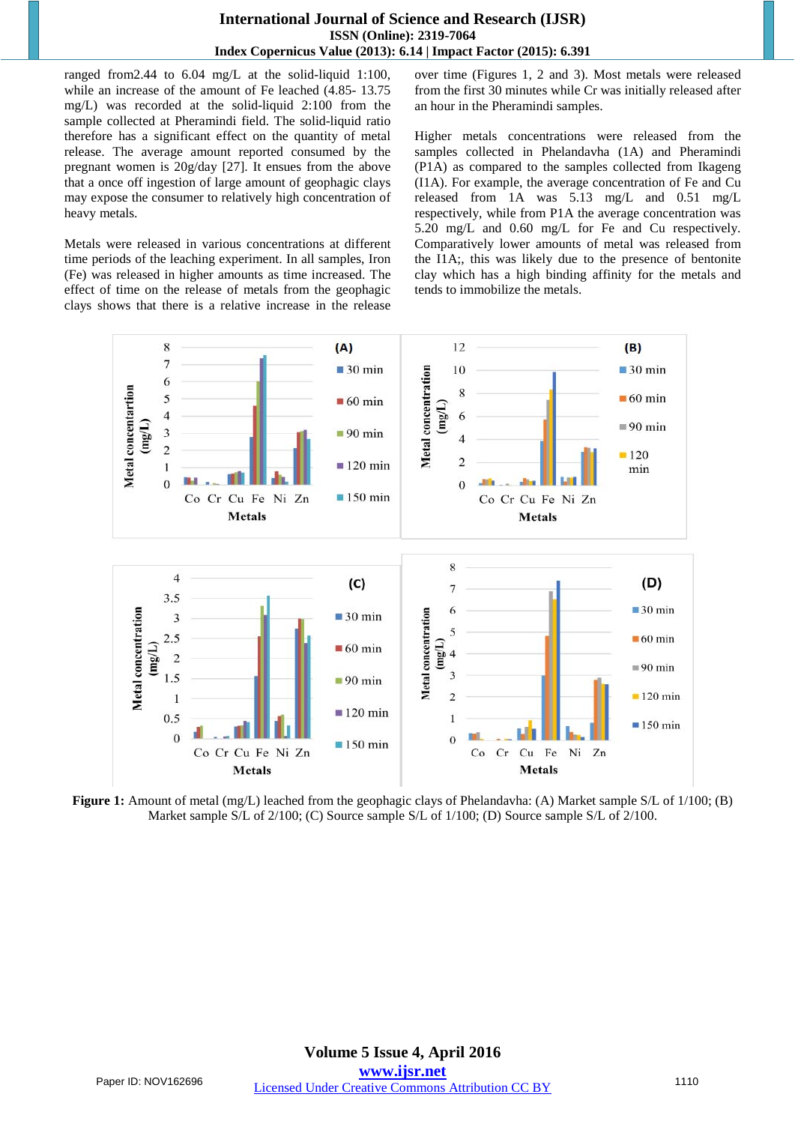# **International Journal of Science and Research (IJSR) ISSN (Online): 2319-7064 Index Copernicus Value (2013): 6.14 | Impact Factor (2015): 6.391**

ranged from2.44 to 6.04 mg/L at the solid-liquid 1:100, while an increase of the amount of Fe leached (4.85- 13.75 mg/L) was recorded at the solid-liquid 2:100 from the sample collected at Pheramindi field. The solid-liquid ratio therefore has a significant effect on the quantity of metal release. The average amount reported consumed by the pregnant women is 20g/day [27]. It ensues from the above that a once off ingestion of large amount of geophagic clays may expose the consumer to relatively high concentration of heavy metals.

Metals were released in various concentrations at different time periods of the leaching experiment. In all samples, Iron (Fe) was released in higher amounts as time increased. The effect of time on the release of metals from the geophagic clays shows that there is a relative increase in the release over time (Figures 1, 2 and 3). Most metals were released from the first 30 minutes while Cr was initially released after an hour in the Pheramindi samples.

Higher metals concentrations were released from the samples collected in Phelandavha (1A) and Pheramindi (P1A) as compared to the samples collected from Ikageng (I1A). For example, the average concentration of Fe and Cu released from 1A was 5.13 mg/L and 0.51 mg/L respectively, while from P1A the average concentration was 5.20 mg/L and 0.60 mg/L for Fe and Cu respectively. Comparatively lower amounts of metal was released from the I1A;, this was likely due to the presence of bentonite clay which has a high binding affinity for the metals and tends to immobilize the metals.



**Figure 1:** Amount of metal (mg/L) leached from the geophagic clays of Phelandavha: (A) Market sample S/L of 1/100; (B) Market sample S/L of 2/100; (C) Source sample S/L of  $1/100$ ; (D) Source sample S/L of  $2/100$ .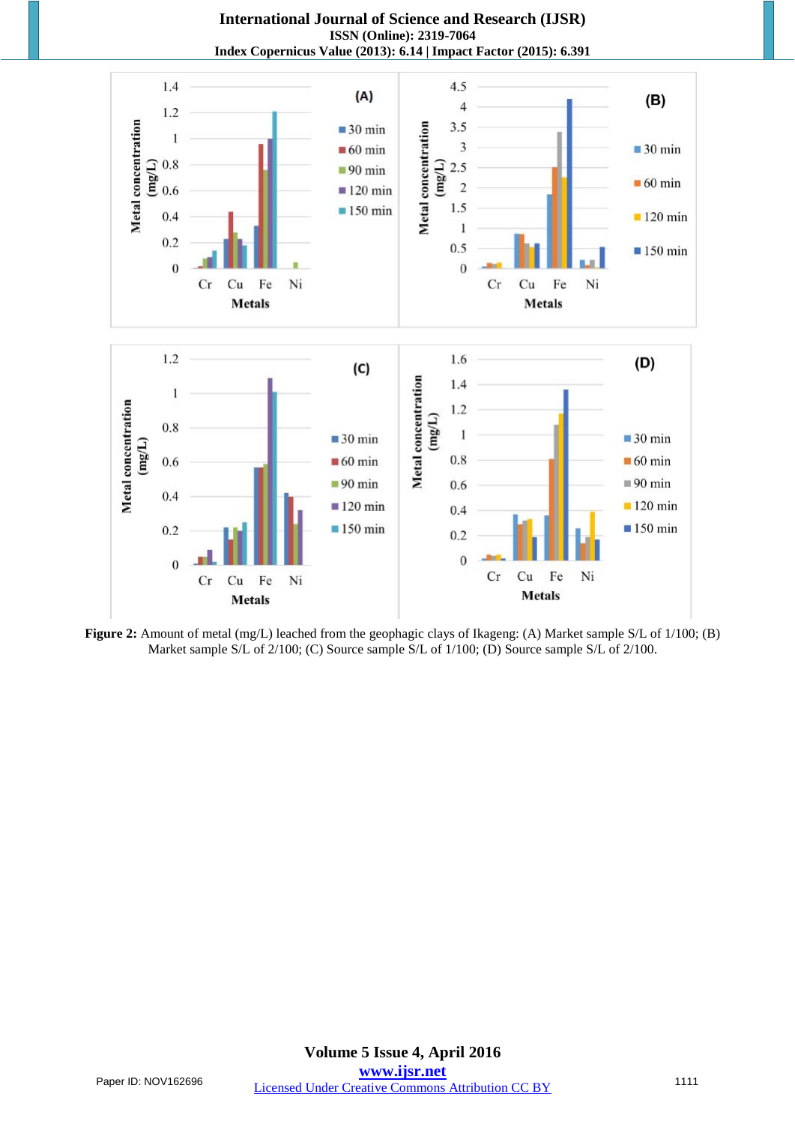**International Journal of Science and Research (IJSR) ISSN (Online): 2319-7064 Index Copernicus Value (2013): 6.14 | Impact Factor (2015): 6.391** 



**Figure 2:** Amount of metal (mg/L) leached from the geophagic clays of Ikageng: (A) Market sample S/L of 1/100; (B) Market sample S/L of 2/100; (C) Source sample S/L of 1/100; (D) Source sample S/L of 2/100.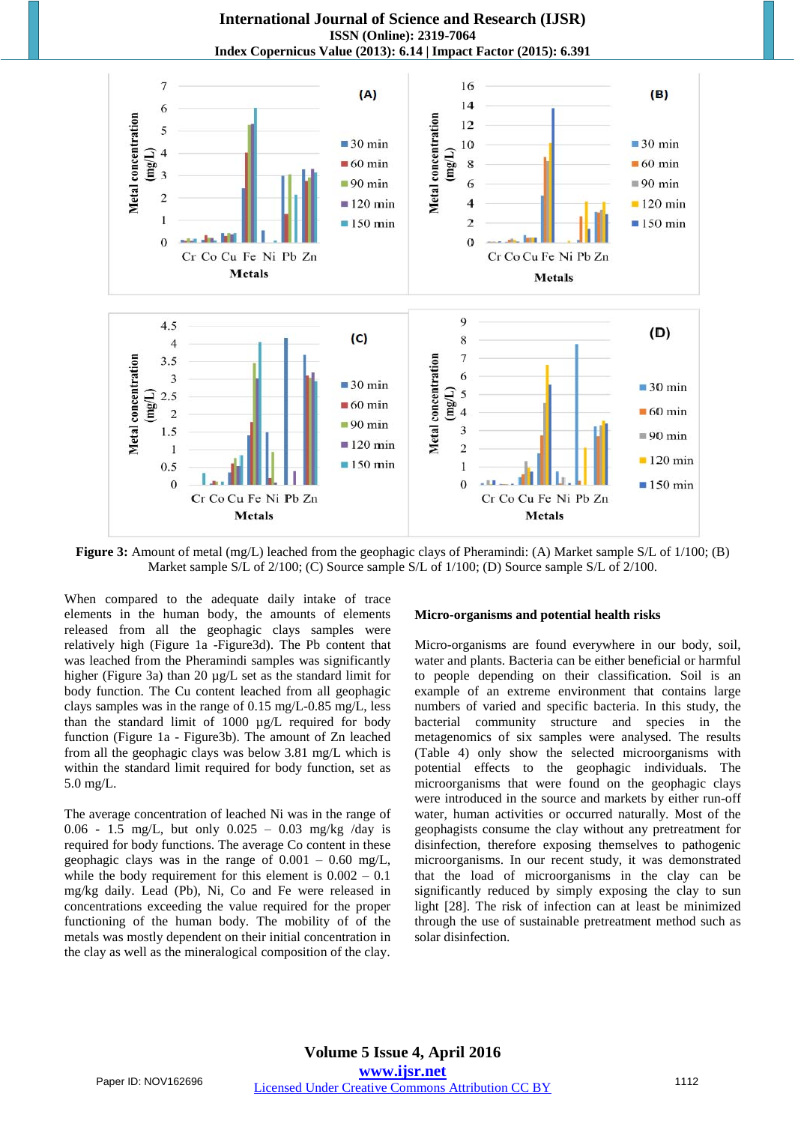**International Journal of Science and Research (IJSR) ISSN (Online): 2319-7064 Index Copernicus Value (2013): 6.14 | Impact Factor (2015): 6.391** 



**Figure 3:** Amount of metal (mg/L) leached from the geophagic clays of Pheramindi: (A) Market sample S/L of 1/100; (B) Market sample S/L of 2/100; (C) Source sample S/L of 1/100; (D) Source sample S/L of 2/100.

When compared to the adequate daily intake of trace elements in the human body, the amounts of elements released from all the geophagic clays samples were relatively high (Figure 1a -Figure3d). The Pb content that was leached from the Pheramindi samples was significantly higher (Figure 3a) than 20  $\mu$ g/L set as the standard limit for body function. The Cu content leached from all geophagic clays samples was in the range of 0.15 mg/L-0.85 mg/L, less than the standard limit of 1000 µg/L required for body function (Figure 1a - Figure3b). The amount of Zn leached from all the geophagic clays was below 3.81 mg/L which is within the standard limit required for body function, set as 5.0 mg/L.

The average concentration of leached Ni was in the range of 0.06 - 1.5 mg/L, but only 0.025 – 0.03 mg/kg /day is required for body functions. The average Co content in these geophagic clays was in the range of  $0.001 - 0.60$  mg/L, while the body requirement for this element is 0.002 – 0.1 mg/kg daily. Lead (Pb), Ni, Co and Fe were released in concentrations exceeding the value required for the proper functioning of the human body. The mobility of of the metals was mostly dependent on their initial concentration in the clay as well as the mineralogical composition of the clay.

#### **Micro-organisms and potential health risks**

Micro-organisms are found everywhere in our body, soil, water and plants. Bacteria can be either beneficial or harmful to people depending on their classification. Soil is an example of an extreme environment that contains large numbers of varied and specific bacteria. In this study, the bacterial community structure and species in the metagenomics of six samples were analysed. The results (Table 4) only show the selected microorganisms with potential effects to the geophagic individuals. The microorganisms that were found on the geophagic clays were introduced in the source and markets by either run-off water, human activities or occurred naturally. Most of the geophagists consume the clay without any pretreatment for disinfection, therefore exposing themselves to pathogenic microorganisms. In our recent study, it was demonstrated that the load of microorganisms in the clay can be significantly reduced by simply exposing the clay to sun light [28]. The risk of infection can at least be minimized through the use of sustainable pretreatment method such as solar disinfection.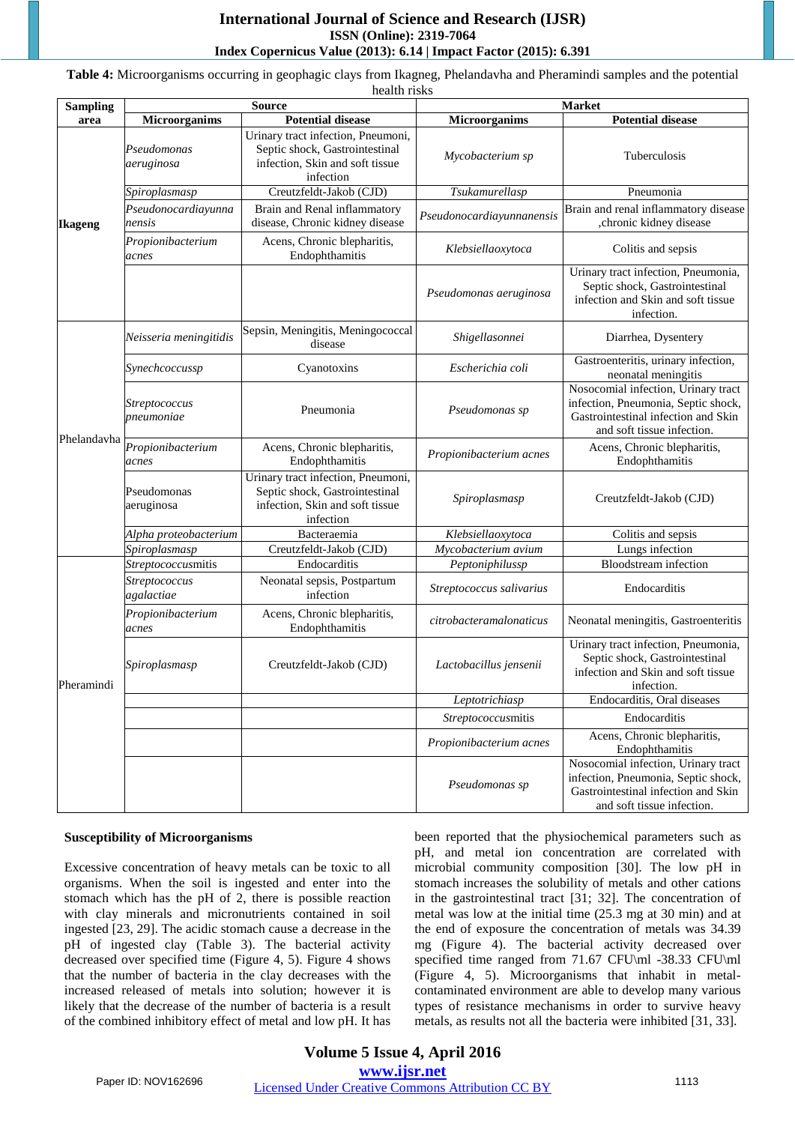# **International Journal of Science and Research (IJSR) ISSN (Online): 2319-7064 Index Copernicus Value (2013): 6.14 | Impact Factor (2015): 6.391**

**Table 4:** Microorganisms occurring in geophagic clays from Ikagneg, Phelandavha and Pheramindi samples and the potential health risks

| <b>Sampling</b> |                               | <b>Source</b>                                                                                                        | <b>Market</b>             |                                                                                                                                                 |  |
|-----------------|-------------------------------|----------------------------------------------------------------------------------------------------------------------|---------------------------|-------------------------------------------------------------------------------------------------------------------------------------------------|--|
| area            | <b>Microorganims</b>          | <b>Potential disease</b>                                                                                             | <b>Microorganims</b>      | <b>Potential disease</b>                                                                                                                        |  |
| <b>Ikageng</b>  | Pseudomonas<br>aeruginosa     | Urinary tract infection, Pneumoni,<br>Septic shock, Gastrointestinal<br>infection, Skin and soft tissue<br>infection | Mycobacterium sp          | Tuberculosis                                                                                                                                    |  |
|                 | Spiroplasmasp                 | Creutzfeldt-Jakob (CJD)                                                                                              | Tsukamurellasp            | Pneumonia                                                                                                                                       |  |
|                 | Pseudonocardiayunna<br>nensis | Brain and Renal inflammatory<br>disease, Chronic kidney disease                                                      | Pseudonocardiayunnanensis | Brain and renal inflammatory disease<br>,chronic kidney disease                                                                                 |  |
|                 | Propionibacterium<br>acnes    | Acens, Chronic blepharitis,<br>Endophthamitis                                                                        | Klebsiellaoxytoca         | Colitis and sepsis                                                                                                                              |  |
|                 |                               |                                                                                                                      | Pseudomonas aeruginosa    | Urinary tract infection, Pneumonia,<br>Septic shock, Gastrointestinal<br>infection and Skin and soft tissue<br>infection.                       |  |
|                 | Neisseria meningitidis        | Sepsin, Meningitis, Meningococcal<br>disease                                                                         | Shigellasonnei            | Diarrhea, Dysentery                                                                                                                             |  |
|                 | Synechcoccussp                | Cyanotoxins                                                                                                          | Escherichia coli          | Gastroenteritis, urinary infection,<br>neonatal meningitis                                                                                      |  |
|                 | Streptococcus<br>pneumoniae   | Pneumonia                                                                                                            | Pseudomonas sp            | Nosocomial infection, Urinary tract<br>infection, Pneumonia, Septic shock,<br>Gastrointestinal infection and Skin<br>and soft tissue infection. |  |
| Phelandavha     | Propionibacterium<br>acnes    | Acens, Chronic blepharitis,<br>Endophthamitis                                                                        | Propionibacterium acnes   | Acens, Chronic blepharitis,<br>Endophthamitis                                                                                                   |  |
|                 | Pseudomonas<br>aeruginosa     | Urinary tract infection, Pneumoni,<br>Septic shock, Gastrointestinal<br>infection, Skin and soft tissue<br>infection | Spiroplasmasp             | Creutzfeldt-Jakob (CJD)                                                                                                                         |  |
|                 | Alpha proteobacterium         | Bacteraemia                                                                                                          | Klebsiellaoxytoca         | Colitis and sepsis                                                                                                                              |  |
|                 | <b>Spiroplasmasp</b>          | Creutzfeldt-Jakob (CJD)                                                                                              | Mycobacterium avium       | Lungs infection                                                                                                                                 |  |
|                 | Streptococcusmitis            | Endocarditis                                                                                                         | Peptoniphilussp           | <b>Bloodstream</b> infection                                                                                                                    |  |
|                 | Streptococcus<br>agalactiae   | Neonatal sepsis, Postpartum<br>infection                                                                             | Streptococcus salivarius  | Endocarditis                                                                                                                                    |  |
| Pheramindi      | Propionibacterium<br>acnes    | Acens, Chronic blepharitis,<br>Endophthamitis                                                                        | citrobacteramalonaticus   | Neonatal meningitis, Gastroenteritis                                                                                                            |  |
|                 | Spiroplasmasp                 | Creutzfeldt-Jakob (CJD)                                                                                              | Lactobacillus jensenii    | Urinary tract infection, Pneumonia,<br>Septic shock, Gastrointestinal<br>infection and Skin and soft tissue<br>infection.                       |  |
|                 |                               |                                                                                                                      | Leptotrichiasp            | Endocarditis, Oral diseases                                                                                                                     |  |
|                 |                               |                                                                                                                      | Streptococcusmitis        | Endocarditis                                                                                                                                    |  |
|                 |                               |                                                                                                                      | Propionibacterium acnes   | Acens, Chronic blepharitis,<br>Endophthamitis                                                                                                   |  |
|                 |                               |                                                                                                                      | Pseudomonas sp            | Nosocomial infection, Urinary tract<br>infection, Pneumonia, Septic shock,<br>Gastrointestinal infection and Skin<br>and soft tissue infection. |  |

## **Susceptibility of Microorganisms**

Excessive concentration of heavy metals can be toxic to all organisms. When the soil is ingested and enter into the stomach which has the pH of 2, there is possible reaction with clay minerals and micronutrients contained in soil ingested [23, 29]. The acidic stomach cause a decrease in the pH of ingested clay (Table 3). The bacterial activity decreased over specified time (Figure 4, 5). Figure 4 shows that the number of bacteria in the clay decreases with the increased released of metals into solution; however it is likely that the decrease of the number of bacteria is a result of the combined inhibitory effect of metal and low pH. It has been reported that the physiochemical parameters such as pH, and metal ion concentration are correlated with microbial community composition [30]. The low pH in stomach increases the solubility of metals and other cations in the gastrointestinal tract [31; 32]. The concentration of metal was low at the initial time (25.3 mg at 30 min) and at the end of exposure the concentration of metals was 34.39 mg (Figure 4). The bacterial activity decreased over specified time ranged from 71.67 CFU\ml -38.33 CFU\ml (Figure 4, 5). Microorganisms that inhabit in metalcontaminated environment are able to develop many various types of resistance mechanisms in order to survive heavy metals, as results not all the bacteria were inhibited [31, 33].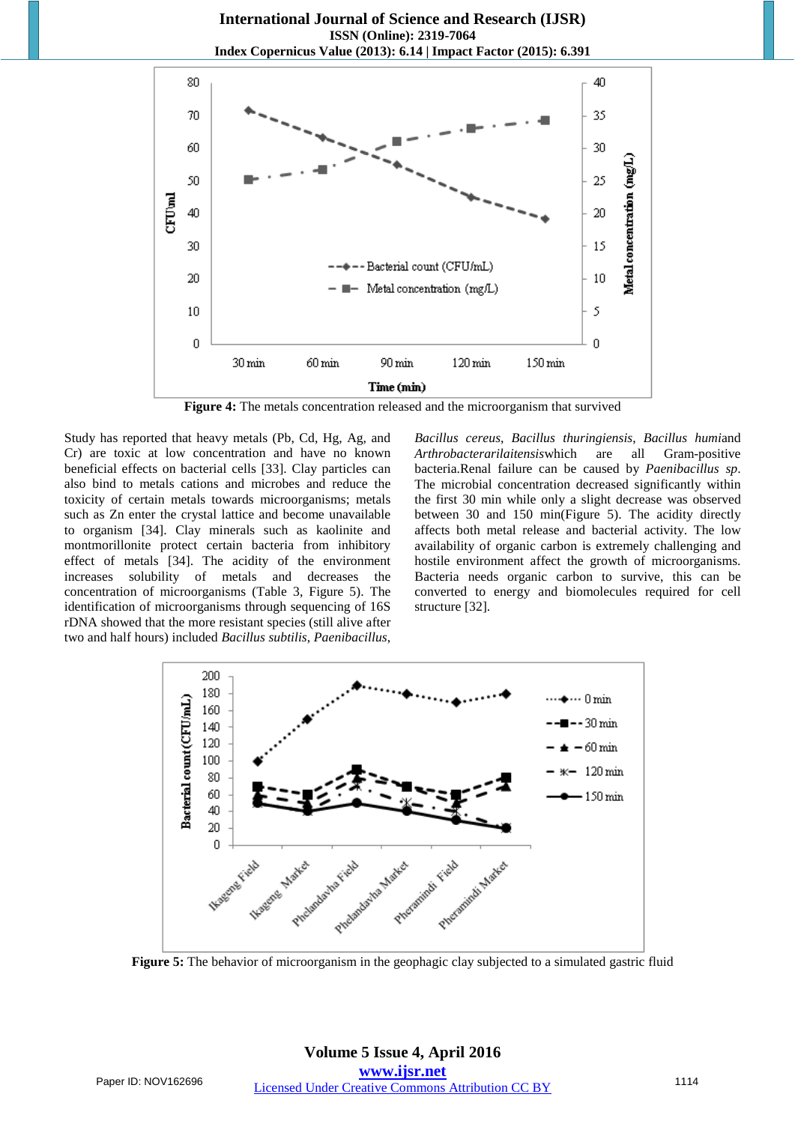**International Journal of Science and Research (IJSR) ISSN (Online): 2319-7064 Index Copernicus Value (2013): 6.14 | Impact Factor (2015): 6.391** 



**Figure 4:** The metals concentration released and the microorganism that survived

Study has reported that heavy metals (Pb, Cd, Hg, Ag, and Cr) are toxic at low concentration and have no known beneficial effects on bacterial cells [33]. Clay particles can also bind to metals cations and microbes and reduce the toxicity of certain metals towards microorganisms; metals such as Zn enter the crystal lattice and become unavailable to organism [34]. Clay minerals such as kaolinite and montmorillonite protect certain bacteria from inhibitory effect of metals [34]. The acidity of the environment increases solubility of metals and decreases the concentration of microorganisms (Table 3, Figure 5). The identification of microorganisms through sequencing of 16S rDNA showed that the more resistant species (still alive after two and half hours) included *Bacillus subtilis*, *Paenibacillus*,

*Bacillus cereus*, *Bacillus thuringiensis*, *Bacillus humi*and *Arthrobacterarilaitensis*which are all Gram-positive bacteria.Renal failure can be caused by *Paenibacillus sp*. The microbial concentration decreased significantly within the first 30 min while only a slight decrease was observed between 30 and 150 min(Figure 5). The acidity directly affects both metal release and bacterial activity. The low availability of organic carbon is extremely challenging and hostile environment affect the growth of microorganisms. Bacteria needs organic carbon to survive, this can be converted to energy and biomolecules required for cell structure [32].



**Figure 5:** The behavior of microorganism in the geophagic clay subjected to a simulated gastric fluid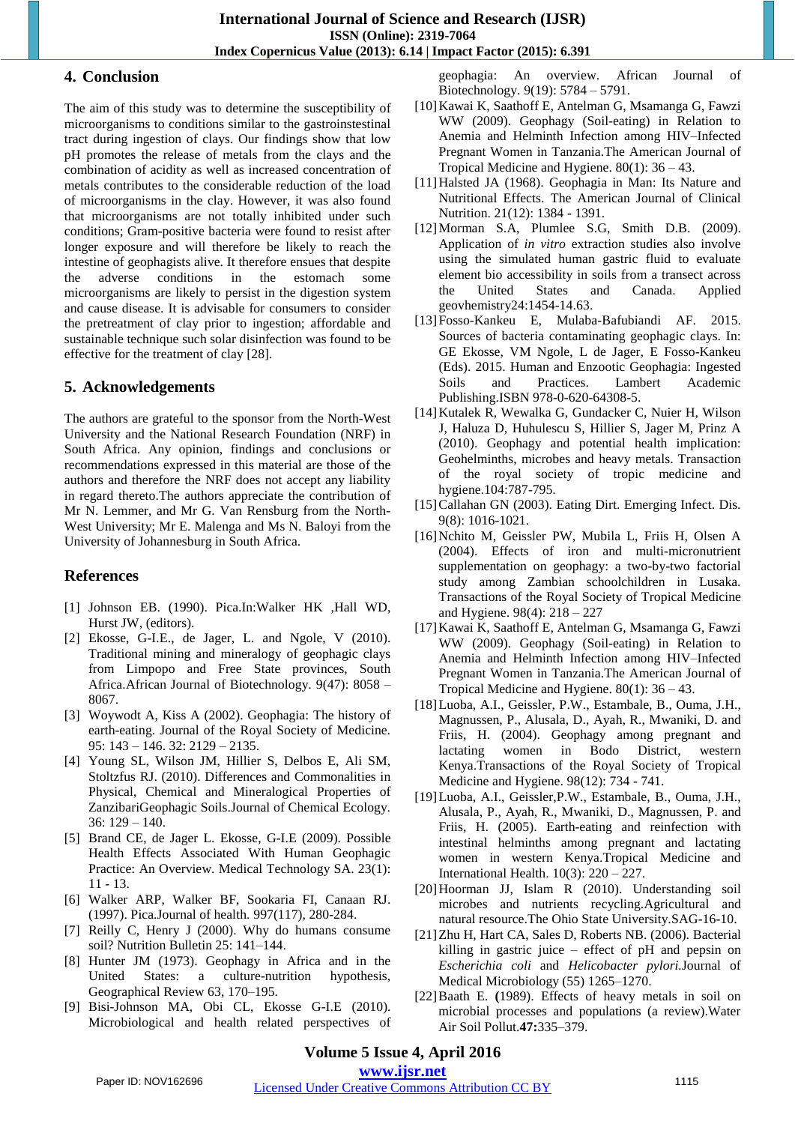# **4. Conclusion**

The aim of this study was to determine the susceptibility of microorganisms to conditions similar to the gastroinstestinal tract during ingestion of clays. Our findings show that low pH promotes the release of metals from the clays and the combination of acidity as well as increased concentration of metals contributes to the considerable reduction of the load of microorganisms in the clay. However, it was also found that microorganisms are not totally inhibited under such conditions; Gram-positive bacteria were found to resist after longer exposure and will therefore be likely to reach the intestine of geophagists alive. It therefore ensues that despite the adverse conditions in the estomach some microorganisms are likely to persist in the digestion system and cause disease. It is advisable for consumers to consider the pretreatment of clay prior to ingestion; affordable and sustainable technique such solar disinfection was found to be effective for the treatment of clay [28].

# **5. Acknowledgements**

The authors are grateful to the sponsor from the North-West University and the National Research Foundation (NRF) in South Africa. Any opinion, findings and conclusions or recommendations expressed in this material are those of the authors and therefore the NRF does not accept any liability in regard thereto.The authors appreciate the contribution of Mr N. Lemmer, and Mr G. Van Rensburg from the North-West University; Mr E. Malenga and Ms N. Baloyi from the University of Johannesburg in South Africa.

# **References**

- [1] Johnson EB. (1990). Pica.In:Walker HK ,Hall WD, Hurst JW, (editors).
- [2] Ekosse, G-I.E., de Jager, L. and Ngole, V (2010). Traditional mining and mineralogy of geophagic clays from Limpopo and Free State provinces, South Africa.African Journal of Biotechnology. 9(47): 8058 – 8067.
- [3] Woywodt A, Kiss A (2002). Geophagia: The history of earth-eating. Journal of the Royal Society of Medicine. 95: 143 – 146. 32: 2129 – 2135.
- [4] Young SL, Wilson JM, Hillier S, Delbos E, Ali SM, Stoltzfus RJ. (2010). Differences and Commonalities in Physical, Chemical and Mineralogical Properties of ZanzibariGeophagic Soils.Journal of Chemical Ecology. 36: 129 – 140.
- [5] Brand CE, de Jager L. Ekosse, G-I.E (2009). Possible Health Effects Associated With Human Geophagic Practice: An Overview. Medical Technology SA. 23(1): 11 - 13.
- [6] Walker ARP, Walker BF, Sookaria FI, Canaan RJ. (1997). Pica.Journal of health. 997(117), 280-284.
- [7] Reilly C, Henry J (2000). Why do humans consume soil? Nutrition Bulletin 25: 141–144.
- [8] Hunter JM (1973). Geophagy in Africa and in the United States: a culture-nutrition hypothesis, Geographical Review 63, 170–195.
- [9] Bisi-Johnson MA, Obi CL, Ekosse G-I.E (2010). Microbiological and health related perspectives of

geophagia: An overview. African Journal of Biotechnology. 9(19): 5784 – 5791.

- [10]Kawai K, Saathoff E, Antelman G, Msamanga G, Fawzi WW (2009). Geophagy (Soil-eating) in Relation to Anemia and Helminth Infection among HIV–Infected Pregnant Women in Tanzania.The American Journal of Tropical Medicine and Hygiene. 80(1): 36 – 43.
- [11] Halsted JA (1968). Geophagia in Man: Its Nature and Nutritional Effects. The American Journal of Clinical Nutrition. 21(12): 1384 - 1391.
- [12]Morman S.A, Plumlee S.G, Smith D.B. (2009). Application of *in vitro* extraction studies also involve using the simulated human gastric fluid to evaluate element bio accessibility in soils from a transect across the United States and Canada. Applied geovhemistry24:1454-14.63.
- [13]Fosso-Kankeu E, Mulaba-Bafubiandi AF. 2015. Sources of bacteria contaminating geophagic clays. In: GE Ekosse, VM Ngole, L de Jager, E Fosso-Kankeu (Eds). 2015. Human and Enzootic Geophagia: Ingested Soils and Practices. Lambert Academic Publishing.ISBN 978-0-620-64308-5.
- [14]Kutalek R, Wewalka G, Gundacker C, Nuier H, Wilson J, Haluza D, Huhulescu S, Hillier S, Jager M, Prinz A (2010). Geophagy and potential health implication: Geohelminths, microbes and heavy metals. Transaction of the royal society of tropic medicine and hygiene.104:787-795.
- [15]Callahan GN (2003). Eating Dirt. Emerging Infect. Dis. 9(8): 1016-1021.
- [16]Nchito M, Geissler PW, Mubila L, Friis H, Olsen A (2004). Effects of iron and multi-micronutrient supplementation on geophagy: a two-by-two factorial study among Zambian schoolchildren in Lusaka. Transactions of the Royal Society of Tropical Medicine and Hygiene. 98(4): 218 – 227
- [17]Kawai K, Saathoff E, Antelman G, Msamanga G, Fawzi WW (2009). Geophagy (Soil-eating) in Relation to Anemia and Helminth Infection among HIV–Infected Pregnant Women in Tanzania.The American Journal of Tropical Medicine and Hygiene. 80(1): 36 – 43.
- [18]Luoba, A.I., Geissler, P.W., Estambale, B., Ouma, J.H., Magnussen, P., Alusala, D., Ayah, R., Mwaniki, D. and Friis, H. (2004). Geophagy among pregnant and lactating women in Bodo District, western Kenya.Transactions of the Royal Society of Tropical Medicine and Hygiene. 98(12): 734 - 741.
- [19]Luoba, A.I., Geissler,P.W., Estambale, B., Ouma, J.H., Alusala, P., Ayah, R., Mwaniki, D., Magnussen, P. and Friis, H. (2005). Earth-eating and reinfection with intestinal helminths among pregnant and lactating women in western Kenya.Tropical Medicine and International Health. 10(3): 220 – 227.
- [20]Hoorman JJ, Islam R (2010). Understanding soil microbes and nutrients recycling.Agricultural and natural resource.The Ohio State University.SAG-16-10.
- [21]Zhu H, Hart CA, Sales D, Roberts NB. (2006). Bacterial killing in gastric juice – effect of pH and pepsin on *Escherichia coli* and *Helicobacter pylori.*Journal of Medical Microbiology (55) 1265–1270.
- [22]Baath E. **(**1989). Effects of heavy metals in soil on microbial processes and populations (a review).Water Air Soil Pollut.**47:**335–379.